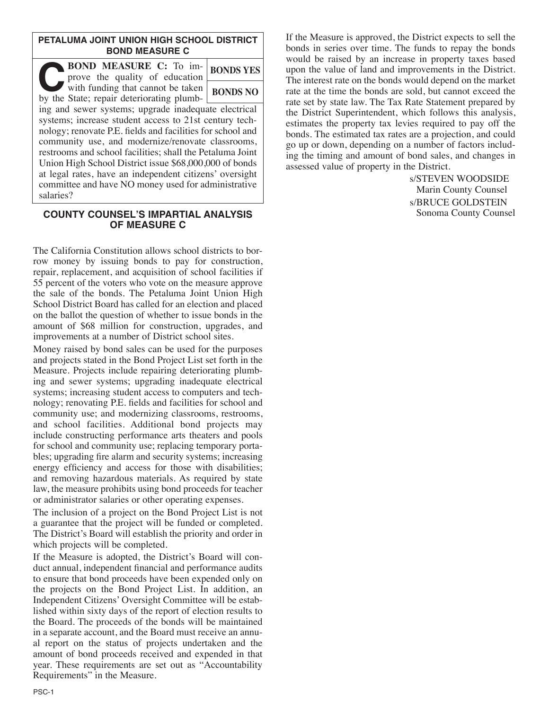### **PETALUMA JOINT UNION HIGH SCHOOL DISTRICT BOND MEASURE C**

| <b>BOND MEASURE C:</b> To im-<br>prove the quality of education                | <b>BONDS YES</b> |
|--------------------------------------------------------------------------------|------------------|
| with funding that cannot be taken<br>by the State; repair deteriorating plumb- | <b>BONDS NO</b>  |
| ing and sewer systems; upgrade inadequate electrical                           |                  |
| systems; increase student access to 21st century tech-                         |                  |
| nology; renovate P.E. fields and facilities for school and                     |                  |
| community use, and modernize/renovate classrooms,                              |                  |
| restrooms and school facilities; shall the Petaluma Joint                      |                  |
| Union High School District issue \$68,000,000 of bonds                         |                  |
| at legal rates, have an independent citizens' oversight                        |                  |
| committee and have NO money used for administrative                            |                  |
| salaries?                                                                      |                  |

#### **COUNTY COUNSEL'S IMPARTIAL ANALYSIS OF MEASURE C**

The California Constitution allows school districts to borrow money by issuing bonds to pay for construction, repair, replacement, and acquisition of school facilities if 55 percent of the voters who vote on the measure approve the sale of the bonds. The Petaluma Joint Union High School District Board has called for an election and placed on the ballot the question of whether to issue bonds in the amount of \$68 million for construction, upgrades, and improvements at a number of District school sites.

Money raised by bond sales can be used for the purposes and projects stated in the Bond Project List set forth in the Measure. Projects include repairing deteriorating plumbing and sewer systems; upgrading inadequate electrical systems; increasing student access to computers and technology; renovating P.E. fields and facilities for school and community use; and modernizing classrooms, restrooms, and school facilities. Additional bond projects may include constructing performance arts theaters and pools for school and community use; replacing temporary portables; upgrading fire alarm and security systems; increasing energy efficiency and access for those with disabilities; and removing hazardous materials. As required by state law, the measure prohibits using bond proceeds for teacher or administrator salaries or other operating expenses.

The inclusion of a project on the Bond Project List is not a guarantee that the project will be funded or completed. The District's Board will establish the priority and order in which projects will be completed.

If the Measure is adopted, the District's Board will conduct annual, independent financial and performance audits to ensure that bond proceeds have been expended only on the projects on the Bond Project List. In addition, an Independent Citizens' Oversight Committee will be established within sixty days of the report of election results to the Board. The proceeds of the bonds will be maintained in a separate account, and the Board must receive an annual report on the status of projects undertaken and the amount of bond proceeds received and expended in that year. These requirements are set out as "Accountability Requirements" in the Measure.

If the Measure is approved, the District expects to sell the bonds in series over time. The funds to repay the bonds would be raised by an increase in property taxes based upon the value of land and improvements in the District. The interest rate on the bonds would depend on the market rate at the time the bonds are sold, but cannot exceed the rate set by state law. The Tax Rate Statement prepared by the District Superintendent, which follows this analysis, estimates the property tax levies required to pay off the bonds. The estimated tax rates are a projection, and could go up or down, depending on a number of factors including the timing and amount of bond sales, and changes in assessed value of property in the District.

> s/STEVEN WOODSIDE Marin County Counsel s/BRUCE GOLDSTEIN Sonoma County Counsel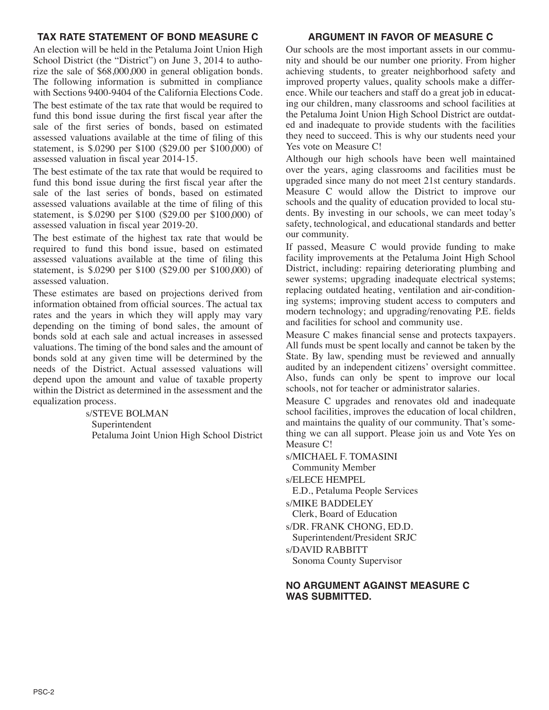## **TAX RATE STATEMENT OF BOND MEASURE C**

An election will be held in the Petaluma Joint Union High School District (the "District") on June 3, 2014 to authorize the sale of \$68,000,000 in general obligation bonds. The following information is submitted in compliance with Sections 9400-9404 of the California Elections Code. The best estimate of the tax rate that would be required to fund this bond issue during the first fiscal year after the sale of the first series of bonds, based on estimated assessed valuations available at the time of filing of this statement, is \$.0290 per \$100 (\$29.00 per \$100,000) of assessed valuation in fiscal year 2014-15.

The best estimate of the tax rate that would be required to fund this bond issue during the first fiscal year after the sale of the last series of bonds, based on estimated assessed valuations available at the time of filing of this statement, is \$.0290 per \$100 (\$29.00 per \$100,000) of assessed valuation in fiscal year 2019-20.

The best estimate of the highest tax rate that would be required to fund this bond issue, based on estimated assessed valuations available at the time of filing this statement, is \$.0290 per \$100 (\$29.00 per \$100,000) of assessed valuation.

These estimates are based on projections derived from information obtained from official sources. The actual tax rates and the years in which they will apply may vary depending on the timing of bond sales, the amount of bonds sold at each sale and actual increases in assessed valuations. The timing of the bond sales and the amount of bonds sold at any given time will be determined by the needs of the District. Actual assessed valuations will depend upon the amount and value of taxable property within the District as determined in the assessment and the equalization process.

> s/STEVE BOLMAN Superintendent Petaluma Joint Union High School District

#### **ARGUMENT IN FAVOR OF MEASURE C**

Our schools are the most important assets in our community and should be our number one priority. From higher achieving students, to greater neighborhood safety and improved property values, quality schools make a difference. While our teachers and staff do a great job in educating our children, many classrooms and school facilities at the Petaluma Joint Union High School District are outdated and inadequate to provide students with the facilities they need to succeed. This is why our students need your Yes vote on Measure C!

Although our high schools have been well maintained over the years, aging classrooms and facilities must be upgraded since many do not meet 21st century standards. Measure C would allow the District to improve our schools and the quality of education provided to local students. By investing in our schools, we can meet today's safety, technological, and educational standards and better our community.

If passed, Measure C would provide funding to make facility improvements at the Petaluma Joint High School District, including: repairing deteriorating plumbing and sewer systems; upgrading inadequate electrical systems; replacing outdated heating, ventilation and air-conditioning systems; improving student access to computers and modern technology; and upgrading/renovating P.E. fields and facilities for school and community use.

Measure C makes financial sense and protects taxpayers. All funds must be spent locally and cannot be taken by the State. By law, spending must be reviewed and annually audited by an independent citizens' oversight committee. Also, funds can only be spent to improve our local schools, not for teacher or administrator salaries.

Measure C upgrades and renovates old and inadequate school facilities, improves the education of local children, and maintains the quality of our community. That's something we can all support. Please join us and Vote Yes on Measure C!

s/MICHAEL F. TOMASINI

Community Member

s/ELECE HEMPEL

E.D., Petaluma People Services

s/MIKE BADDELEY

Clerk, Board of Education

s/DR. FRANK CHONG, ED.D.

Superintendent/President SRJC

s/DAVID RABBITT

Sonoma County Supervisor

#### **NO ARGUMENT AGAINST MEASURE C WAS SUBMITTED.**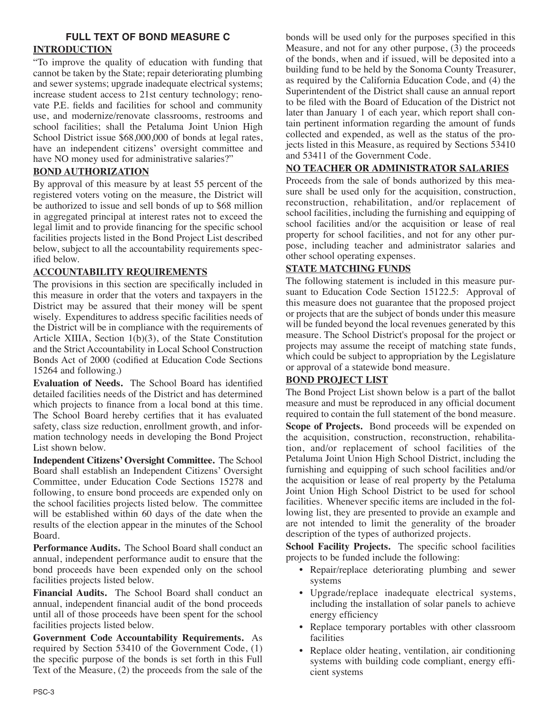# **FULL TEXT OF BOND MEASURE C INTRODUCTION**

"To improve the quality of education with funding that cannot be taken by the State; repair deteriorating plumbing and sewer systems; upgrade inadequate electrical systems; increase student access to 21st century technology; renovate P.E. fields and facilities for school and community use, and modernize/renovate classrooms, restrooms and school facilities; shall the Petaluma Joint Union High School District issue \$68,000,000 of bonds at legal rates, have an independent citizens' oversight committee and have NO money used for administrative salaries?"

## **BOND AUTHORIZATION**

By approval of this measure by at least 55 percent of the registered voters voting on the measure, the District will be authorized to issue and sell bonds of up to \$68 million in aggregated principal at interest rates not to exceed the legal limit and to provide financing for the specific school facilities projects listed in the Bond Project List described below, subject to all the accountability requirements specified below.

## **ACCOUNTABILITY REQUIREMENTS**

The provisions in this section are specifically included in this measure in order that the voters and taxpayers in the District may be assured that their money will be spent wisely. Expenditures to address specific facilities needs of the District will be in compliance with the requirements of Article XIIIA, Section 1(b)(3), of the State Constitution and the Strict Accountability in Local School Construction Bonds Act of 2000 (codified at Education Code Sections 15264 and following.)

**Evaluation of Needs.** The School Board has identified detailed facilities needs of the District and has determined which projects to finance from a local bond at this time. The School Board hereby certifies that it has evaluated safety, class size reduction, enrollment growth, and information technology needs in developing the Bond Project List shown below.

**Independent Citizens'Oversight Committee.** The School Board shall establish an Independent Citizens' Oversight Committee, under Education Code Sections 15278 and following, to ensure bond proceeds are expended only on the school facilities projects listed below. The committee will be established within 60 days of the date when the results of the election appear in the minutes of the School Board.

**Performance Audits.** The School Board shall conduct an annual, independent performance audit to ensure that the bond proceeds have been expended only on the school facilities projects listed below.

**Financial Audits.** The School Board shall conduct an annual, independent financial audit of the bond proceeds until all of those proceeds have been spent for the school facilities projects listed below.

**Government Code Accountability Requirements.** As required by Section 53410 of the Government Code, (1) the specific purpose of the bonds is set forth in this Full Text of the Measure, (2) the proceeds from the sale of the bonds will be used only for the purposes specified in this Measure, and not for any other purpose, (3) the proceeds of the bonds, when and if issued, will be deposited into a building fund to be held by the Sonoma County Treasurer, as required by the California Education Code, and (4) the Superintendent of the District shall cause an annual report to be filed with the Board of Education of the District not later than January 1 of each year, which report shall contain pertinent information regarding the amount of funds collected and expended, as well as the status of the projects listed in this Measure, as required by Sections 53410 and 53411 of the Government Code.

## **NO TEACHER OR ADMINISTRATOR SALARIES**

Proceeds from the sale of bonds authorized by this measure shall be used only for the acquisition, construction, reconstruction, rehabilitation, and/or replacement of school facilities, including the furnishing and equipping of school facilities and/or the acquisition or lease of real property for school facilities, and not for any other purpose, including teacher and administrator salaries and other school operating expenses.

### **STATE MATCHING FUNDS**

The following statement is included in this measure pursuant to Education Code Section 15122.5: Approval of this measure does not guarantee that the proposed project or projects that are the subject of bonds under this measure will be funded beyond the local revenues generated by this measure. The School District's proposal for the project or projects may assume the receipt of matching state funds, which could be subject to appropriation by the Legislature or approval of a statewide bond measure.

## **BOND PROJECT LIST**

The Bond Project List shown below is a part of the ballot measure and must be reproduced in any official document required to contain the full statement of the bond measure.

**Scope of Projects.** Bond proceeds will be expended on the acquisition, construction, reconstruction, rehabilitation, and/or replacement of school facilities of the Petaluma Joint Union High School District, including the furnishing and equipping of such school facilities and/or the acquisition or lease of real property by the Petaluma Joint Union High School District to be used for school facilities. Whenever specific items are included in the following list, they are presented to provide an example and are not intended to limit the generality of the broader description of the types of authorized projects.

**School Facility Projects.** The specific school facilities projects to be funded include the following:

- Repair/replace deteriorating plumbing and sewer systems
- Upgrade/replace inadequate electrical systems, including the installation of solar panels to achieve energy efficiency
- Replace temporary portables with other classroom facilities
- Replace older heating, ventilation, air conditioning systems with building code compliant, energy efficient systems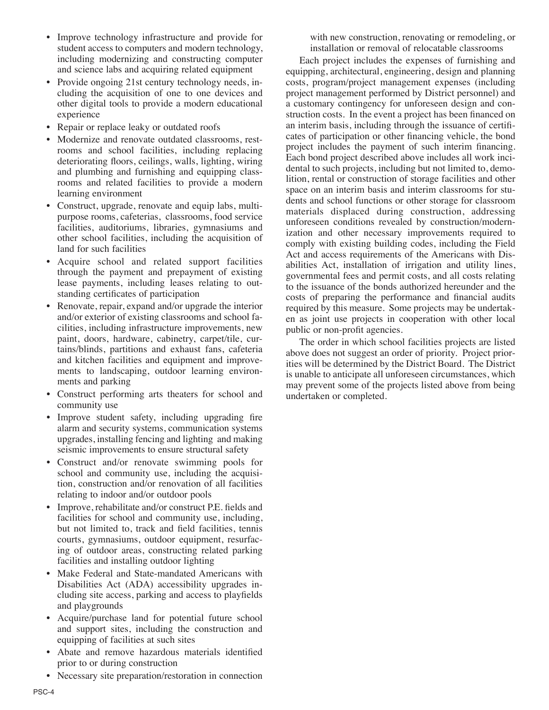- Improve technology infrastructure and provide for student access to computers and modern technology, including modernizing and constructing computer and science labs and acquiring related equipment
- Provide ongoing 21st century technology needs, including the acquisition of one to one devices and other digital tools to provide a modern educational experience
- Repair or replace leaky or outdated roofs
- Modernize and renovate outdated classrooms, restrooms and school facilities, including replacing deteriorating floors, ceilings, walls, lighting, wiring and plumbing and furnishing and equipping classrooms and related facilities to provide a modern learning environment
- Construct, upgrade, renovate and equip labs, multipurpose rooms, cafeterias, classrooms, food service facilities, auditoriums, libraries, gymnasiums and other school facilities, including the acquisition of land for such facilities
- Acquire school and related support facilities through the payment and prepayment of existing lease payments, including leases relating to outstanding certificates of participation
- Renovate, repair, expand and/or upgrade the interior and/or exterior of existing classrooms and school facilities, including infrastructure improvements, new paint, doors, hardware, cabinetry, carpet/tile, curtains/blinds, partitions and exhaust fans, cafeteria and kitchen facilities and equipment and improvements to landscaping, outdoor learning environments and parking
- Construct performing arts theaters for school and community use
- Improve student safety, including upgrading fire alarm and security systems, communication systems upgrades, installing fencing and lighting and making seismic improvements to ensure structural safety
- Construct and/or renovate swimming pools for school and community use, including the acquisition, construction and/or renovation of all facilities relating to indoor and/or outdoor pools
- Improve, rehabilitate and/or construct P.E. fields and facilities for school and community use, including, but not limited to, track and field facilities, tennis courts, gymnasiums, outdoor equipment, resurfacing of outdoor areas, constructing related parking facilities and installing outdoor lighting
- Make Federal and State-mandated Americans with Disabilities Act (ADA) accessibility upgrades including site access, parking and access to playfields and playgrounds
- Acquire/purchase land for potential future school and support sites, including the construction and equipping of facilities at such sites
- Abate and remove hazardous materials identified prior to or during construction
- Necessary site preparation/restoration in connection

with new construction, renovating or remodeling, or installation or removal of relocatable classrooms

 Each project includes the expenses of furnishing and equipping, architectural, engineering, design and planning costs, program/project management expenses (including project management performed by District personnel) and a customary contingency for unforeseen design and construction costs. In the event a project has been financed on an interim basis, including through the issuance of certificates of participation or other financing vehicle, the bond project includes the payment of such interim financing. Each bond project described above includes all work incidental to such projects, including but not limited to, demolition, rental or construction of storage facilities and other space on an interim basis and interim classrooms for students and school functions or other storage for classroom materials displaced during construction, addressing unforeseen conditions revealed by construction/modernization and other necessary improvements required to comply with existing building codes, including the Field Act and access requirements of the Americans with Disabilities Act, installation of irrigation and utility lines, governmental fees and permit costs, and all costs relating to the issuance of the bonds authorized hereunder and the costs of preparing the performance and financial audits required by this measure. Some projects may be undertaken as joint use projects in cooperation with other local public or non-profit agencies.

 The order in which school facilities projects are listed above does not suggest an order of priority. Project priorities will be determined by the District Board. The District is unable to anticipate all unforeseen circumstances, which may prevent some of the projects listed above from being undertaken or completed.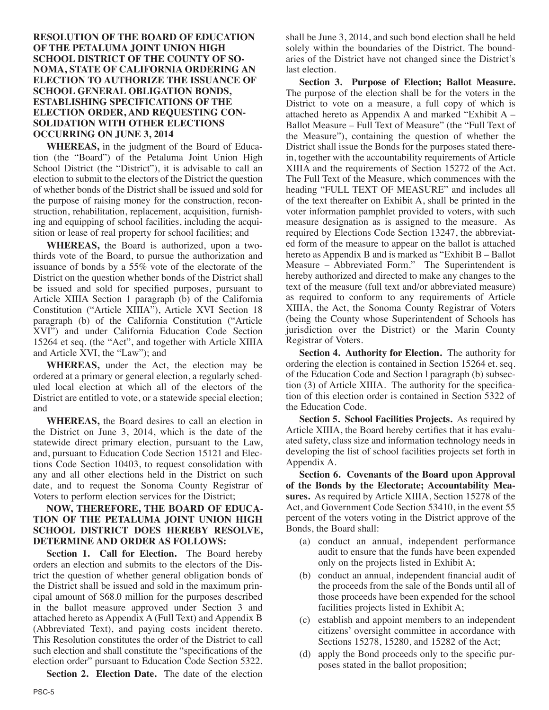#### **RESOLUTION OF THE BOARD OF EDUCATION OF THE PETALUMA JOINT UNION HIGH SCHOOL DISTRICT OF THE COUNTY OF SO-NOMA, STATE OF CALIFORNIA ORDERING AN ELECTION TO AUTHORIZE THE ISSUANCE OF SCHOOL GENERAL OBLIGATION BONDS, ESTABLISHING SPECIFICATIONS OF THE ELECTION ORDER, AND REQUESTING CON-SOLIDATION WITH OTHER ELECTIONS OCCURRING ON JUNE 3, 2014**

 **WHEREAS,** in the judgment of the Board of Education (the "Board") of the Petaluma Joint Union High School District (the "District"), it is advisable to call an election to submit to the electors of the District the question of whether bonds of the District shall be issued and sold for the purpose of raising money for the construction, reconstruction, rehabilitation, replacement, acquisition, furnishing and equipping of school facilities, including the acquisition or lease of real property for school facilities; and

 **WHEREAS,** the Board is authorized, upon a twothirds vote of the Board, to pursue the authorization and issuance of bonds by a 55% vote of the electorate of the District on the question whether bonds of the District shall be issued and sold for specified purposes, pursuant to Article XIIIA Section 1 paragraph (b) of the California Constitution ("Article XIIIA"), Article XVI Section 18 paragraph (b) of the California Constitution ("Article XVI") and under California Education Code Section 15264 et seq. (the "Act", and together with Article XIIIA and Article XVI, the "Law"); and

 **WHEREAS,** under the Act, the election may be ordered at a primary or general election, a regularly scheduled local election at which all of the electors of the District are entitled to vote, or a statewide special election; and

 **WHEREAS,** the Board desires to call an election in the District on June 3, 2014, which is the date of the statewide direct primary election, pursuant to the Law, and, pursuant to Education Code Section 15121 and Elections Code Section 10403, to request consolidation with any and all other elections held in the District on such date, and to request the Sonoma County Registrar of Voters to perform election services for the District;

#### **NOW, THEREFORE, THE BOARD OF EDUCA-TION OF THE PETALUMA JOINT UNION HIGH SCHOOL DISTRICT DOES HEREBY RESOLVE, DETERMINE AND ORDER AS FOLLOWS:**

 **Section 1. Call for Election.** The Board hereby orders an election and submits to the electors of the District the question of whether general obligation bonds of the District shall be issued and sold in the maximum principal amount of \$68.0 million for the purposes described in the ballot measure approved under Section 3 and attached hereto as Appendix A (Full Text) and Appendix B (Abbreviated Text), and paying costs incident thereto. This Resolution constitutes the order of the District to call such election and shall constitute the "specifications of the election order" pursuant to Education Code Section 5322.

**Section 2. Election Date.** The date of the election

shall be June 3, 2014, and such bond election shall be held solely within the boundaries of the District. The boundaries of the District have not changed since the District's last election.

 **Section 3. Purpose of Election; Ballot Measure.** The purpose of the election shall be for the voters in the District to vote on a measure, a full copy of which is attached hereto as Appendix A and marked "Exhibit A – Ballot Measure – Full Text of Measure" (the "Full Text of the Measure"), containing the question of whether the District shall issue the Bonds for the purposes stated therein, together with the accountability requirements of Article XIIIA and the requirements of Section 15272 of the Act. The Full Text of the Measure, which commences with the heading "FULL TEXT OF MEASURE" and includes all of the text thereafter on Exhibit A, shall be printed in the voter information pamphlet provided to voters, with such measure designation as is assigned to the measure. As required by Elections Code Section 13247, the abbreviated form of the measure to appear on the ballot is attached hereto as Appendix B and is marked as "Exhibit B – Ballot Measure – Abbreviated Form." The Superintendent is hereby authorized and directed to make any changes to the text of the measure (full text and/or abbreviated measure) as required to conform to any requirements of Article XIIIA, the Act, the Sonoma County Registrar of Voters (being the County whose Superintendent of Schools has jurisdiction over the District) or the Marin County Registrar of Voters.

 **Section 4. Authority for Election.** The authority for ordering the election is contained in Section 15264 et. seq. of the Education Code and Section l paragraph (b) subsection (3) of Article XIIIA. The authority for the specification of this election order is contained in Section 5322 of the Education Code.

 **Section 5. School Facilities Projects.** As required by Article XIIIA, the Board hereby certifies that it has evaluated safety, class size and information technology needs in developing the list of school facilities projects set forth in Appendix A.

 **Section 6. Covenants of the Board upon Approval of the Bonds by the Electorate; Accountability Measures.** As required by Article XIIIA, Section 15278 of the Act, and Government Code Section 53410, in the event 55 percent of the voters voting in the District approve of the Bonds, the Board shall:

- (a) conduct an annual, independent performance audit to ensure that the funds have been expended only on the projects listed in Exhibit A;
- (b) conduct an annual, independent financial audit of the proceeds from the sale of the Bonds until all of those proceeds have been expended for the school facilities projects listed in Exhibit A;
- (c) establish and appoint members to an independent citizens' oversight committee in accordance with Sections 15278, 15280, and 15282 of the Act;
- (d) apply the Bond proceeds only to the specific purposes stated in the ballot proposition;